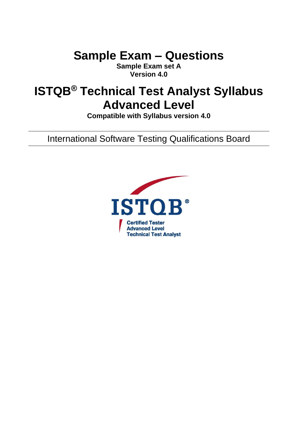**Sample Exam – Questions**

**Sample Exam set A Version 4.0**

# **ISTQB® Technical Test Analyst Syllabus Advanced Level**

**Compatible with Syllabus version 4.0**

International Software Testing Qualifications Board

<span id="page-0-0"></span>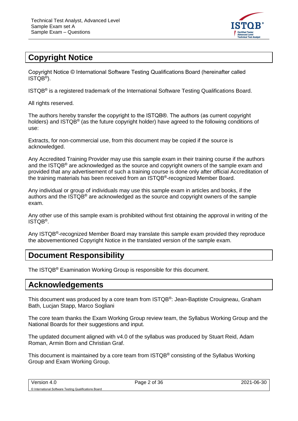

# <span id="page-1-0"></span>**Copyright Notice**

Copyright Notice © International Software Testing Qualifications Board (hereinafter called ISTQB® ).

ISTQB® is a registered trademark of the International Software Testing Qualifications Board.

All rights reserved.

The authors hereby transfer the copyright to the ISTQB®. The authors (as current copyright holders) and ISTQB® (as the future copyright holder) have agreed to the following conditions of use:

Extracts, for non-commercial use, from this document may be copied if the source is acknowledged.

Any Accredited Training Provider may use this sample exam in their training course if the authors and the ISTQB® are acknowledged as the source and copyright owners of the sample exam and provided that any advertisement of such a training course is done only after official Accreditation of the training materials has been received from an ISTQB®-recognized Member Board.

Any individual or group of individuals may use this sample exam in articles and books, if the authors and the ISTQB® are acknowledged as the source and copyright owners of the sample exam.

Any other use of this sample exam is prohibited without first obtaining the approval in writing of the ISTQB® .

Any ISTQB<sup>®</sup>-recognized Member Board may translate this sample exam provided they reproduce the abovementioned Copyright Notice in the translated version of the sample exam.

## <span id="page-1-1"></span>**Document Responsibility**

The ISTQB® Examination Working Group is responsible for this document.

## <span id="page-1-2"></span>**Acknowledgements**

This document was produced by a core team from ISTQB®: Jean-Baptiste Crouigneau, Graham Bath, Lucjan Stapp, Marco Sogliani

The core team thanks the Exam Working Group review team, the Syllabus Working Group and the National Boards for their suggestions and input.

The updated document aligned with v4.0 of the syllabus was produced by Stuart Reid, Adam Roman, Armin Born and Christian Graf.

This document is maintained by a core team from ISTQB® consisting of the Syllabus Working Group and Exam Working Group.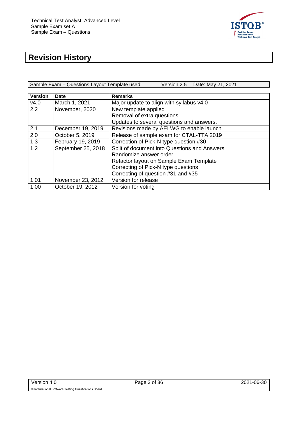

# <span id="page-2-0"></span>**Revision History**

Sample Exam – Questions Layout Template used: Version 2.5 Date: May 21, 2021

| <b>Version</b> | <b>Date</b>        | <b>Remarks</b>                               |  |  |
|----------------|--------------------|----------------------------------------------|--|--|
| v4.0           | March 1, 2021      | Major update to align with syllabus v4.0     |  |  |
| 2.2            | November, 2020     | New template applied                         |  |  |
|                |                    | Removal of extra questions                   |  |  |
|                |                    | Updates to several questions and answers.    |  |  |
| 2.1            | December 19, 2019  | Revisions made by AELWG to enable launch     |  |  |
| 2.0            | October 5, 2019    | Release of sample exam for CTAL-TTA 2019     |  |  |
| 1.3            | February 19, 2019  | Correction of Pick-N type question #30       |  |  |
| 1.2            | September 25, 2018 | Split of document into Questions and Answers |  |  |
|                |                    | Randomize answer order                       |  |  |
|                |                    | Refactor layout on Sample Exam Template      |  |  |
|                |                    | Correcting of Pick-N type questions          |  |  |
|                |                    | Correcting of question #31 and #35           |  |  |
| 1.01           | November 23, 2012  | Version for release                          |  |  |
| 1.00           | October 19, 2012   | Version for voting                           |  |  |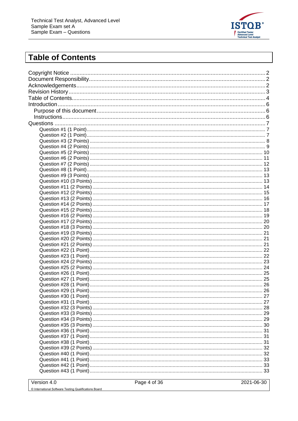

# <span id="page-3-0"></span>**Table of Contents**

Version 4.0

2021-06-30

© International Software Testing Qualifications Board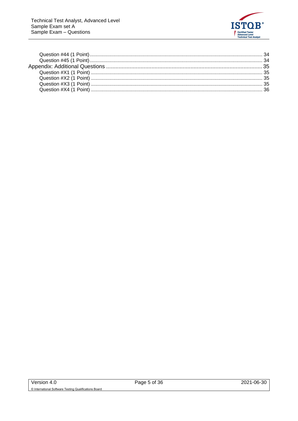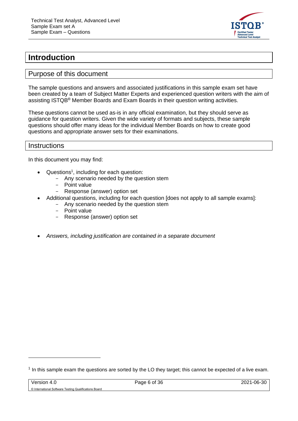

## <span id="page-5-0"></span>**Introduction**

#### <span id="page-5-1"></span>Purpose of this document

The sample questions and answers and associated justifications in this sample exam set have been created by a team of Subject Matter Experts and experienced question writers with the aim of assisting ISTQB® Member Boards and Exam Boards in their question writing activities.

These questions cannot be used as-is in any official examination, but they should serve as guidance for question writers. Given the wide variety of formats and subjects, these sample questions should offer many ideas for the individual Member Boards on how to create good questions and appropriate answer sets for their examinations.

#### <span id="page-5-2"></span>**Instructions**

In this document you may find:

- Questions<sup>1</sup>, including for each question:
	- Any scenario needed by the question stem
	- Point value
	- Response (answer) option set
- Additional questions, including for each question [does not apply to all sample exams]:
	- Any scenario needed by the question stem
	- Point value
	- Response (answer) option set
- *Answers, including justification are contained in a separate document*

 $<sup>1</sup>$  In this sample exam the questions are sorted by the LO they target; this cannot be expected of a live exam.</sup>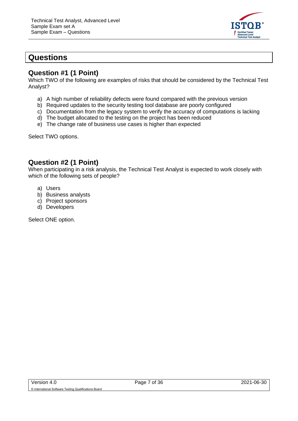

## <span id="page-6-0"></span>**Questions**

#### <span id="page-6-1"></span>**Question #1 (1 Point)**

Which TWO of the following are examples of risks that should be considered by the Technical Test Analyst?

- a) A high number of reliability defects were found compared with the previous version
- b) Required updates to the security testing tool database are poorly configured
- c) Documentation from the legacy system to verify the accuracy of computations is lacking
- d) The budget allocated to the testing on the project has been reduced
- e) The change rate of business use cases is higher than expected

Select TWO options.

### <span id="page-6-2"></span>**Question #2 (1 Point)**

When participating in a risk analysis, the Technical Test Analyst is expected to work closely with which of the following sets of people?

- a) Users
- b) Business analysts
- c) Project sponsors
- d) Developers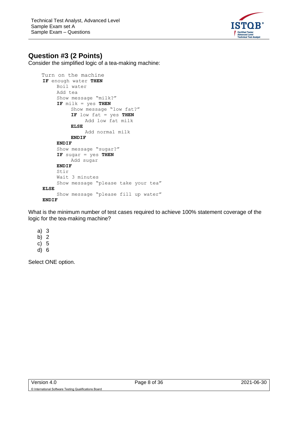

### <span id="page-7-0"></span>**Question #3 (2 Points)**

Consider the simplified logic of a tea-making machine:

```
 Turn on the machine
IF enough water THEN
    Boil water
     Add tea
     Show message "milk?"
     IF milk = yes THEN
         Show message "low fat?"
          IF low fat = yes THEN
              Add low fat milk
         ELSE
              Add normal milk
         ENDIF
     ENDIF
     Show message "sugar?"
     IF sugar = yes THEN
         Add sugar
     ENDIF
     Stir 
     Wait 3 minutes
     Show message "please take your tea"
ELSE
     Show message "please fill up water"
ENDIF
```
What is the minimum number of test cases required to achieve 100% statement coverage of the logic for the tea-making machine?

- a) 3
- b) 2
- c) 5
- d) 6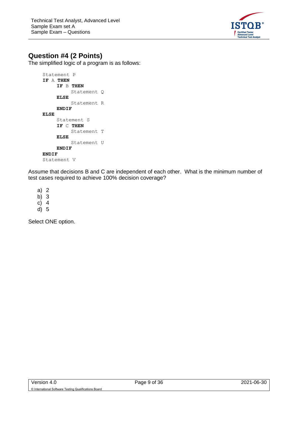

### <span id="page-8-0"></span>**Question #4 (2 Points)**

The simplified logic of a program is as follows:

```
Statement P
IF A THEN
    IF B THEN
         Statement Q
    ELSE
         Statement R
    ENDIF
ELSE
     Statement S
     IF C THEN
         Statement T
    ELSE
         Statement U
    ENDIF
ENDIF
Statement V
```
Assume that decisions B and C are independent of each other. What is the minimum number of test cases required to achieve 100% decision coverage?

a) 2

b) 3

c) 4

d) 5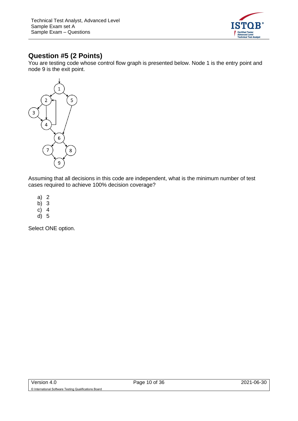

## <span id="page-9-0"></span>**Question #5 (2 Points)**

You are testing code whose control flow graph is presented below. Node 1 is the entry point and node 9 is the exit point.



Assuming that all decisions in this code are independent, what is the minimum number of test cases required to achieve 100% decision coverage?

- a) 2
- b) 3
- c) 4
- d) 5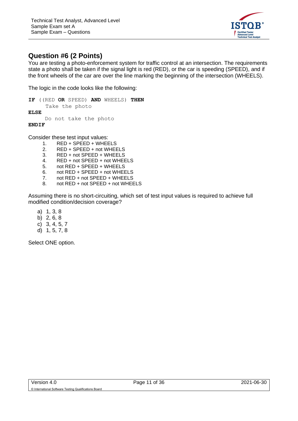

### <span id="page-10-0"></span>**Question #6 (2 Points)**

You are testing a photo-enforcement system for traffic control at an intersection. The requirements state a photo shall be taken if the signal light is red (RED), or the car is speeding (SPEED), and if the front wheels of the car are over the line marking the beginning of the intersection (WHEELS).

The logic in the code looks like the following:

**IF** ((RED **OR** SPEED) **AND** WHEELS) **THEN**  Take the photo **ELSE**  Do not take the photo **ENDIF**

Consider these test input values:

- 1. RED + SPEED + WHEELS
- 2. RED + SPEED + not WHEELS
- 3. RED + not SPEED + WHEELS
- 4. RED + not SPEED + not WHEELS
- 5. not RED + SPEED + WHEELS
- 6. not RED + SPEED + not WHEELS
- 7. not RED + not SPEED + WHEELS
- 8. not RED + not SPEED + not WHEELS

Assuming there is no short-circuiting, which set of test input values is required to achieve full modified condition/decision coverage?

- a) 1, 3, 8
- b) 2, 6, 8
- c) 3, 4, 5, 7
- d) 1, 5, 7, 8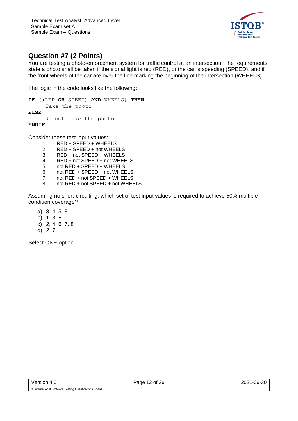

### <span id="page-11-0"></span>**Question #7 (2 Points)**

You are testing a photo-enforcement system for traffic control at an intersection. The requirements state a photo shall be taken if the signal light is red (RED), or the car is speeding (SPEED), and if the front wheels of the car are over the line marking the beginning of the intersection (WHEELS).

The logic in the code looks like the following:

**IF** ((RED **OR** SPEED) **AND** WHEELS) **THEN**  Take the photo **ELSE**  Do not take the photo **ENDIF**

Consider these test input values:

- 1. RED + SPEED + WHEELS
- 2. RED + SPEED + not WHEELS
- 3. RED + not SPEED + WHEELS
- 4. RED + not SPEED + not WHEELS
- 5. not RED + SPEED + WHEELS
- 6. not RED + SPEED + not WHEELS
- 7. not RED + not SPEED + WHEELS
- 8. not RED + not SPEED + not WHEELS

Assuming no short-circuiting, which set of test input values is required to achieve 50% multiple condition coverage?

- a) 3, 4, 5, 8
- b) 1, 3, 5
- c) 2, 4, 6, 7, 8
- d) 2, 7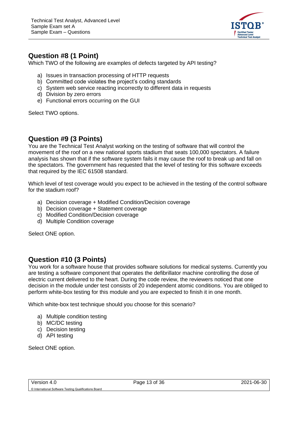

#### <span id="page-12-0"></span>**Question #8 (1 Point)**

Which TWO of the following are examples of defects targeted by API testing?

- a) Issues in transaction processing of HTTP requests
- b) Committed code violates the project's coding standards
- c) System web service reacting incorrectly to different data in requests
- d) Division by zero errors
- e) Functional errors occurring on the GUI

Select TWO options.

#### <span id="page-12-1"></span>**Question #9 (3 Points)**

You are the Technical Test Analyst working on the testing of software that will control the movement of the roof on a new national sports stadium that seats 100,000 spectators. A failure analysis has shown that if the software system fails it may cause the roof to break up and fall on the spectators. The government has requested that the level of testing for this software exceeds that required by the IEC 61508 standard.

Which level of test coverage would you expect to be achieved in the testing of the control software for the stadium roof?

- a) Decision coverage + Modified Condition/Decision coverage
- b) Decision coverage + Statement coverage
- c) Modified Condition/Decision coverage
- d) Multiple Condition coverage

Select ONE option.

#### <span id="page-12-2"></span>**Question #10 (3 Points)**

You work for a software house that provides software solutions for medical systems. Currently you are testing a software component that operates the defibrillator machine controlling the dose of electric current delivered to the heart. During the code review, the reviewers noticed that one decision in the module under test consists of 20 independent atomic conditions. You are obliged to perform white-box testing for this module and you are expected to finish it in one month.

Which white-box test technique should you choose for this scenario?

- a) Multiple condition testing
- b) MC/DC testing
- c) Decision testing
- d) API testing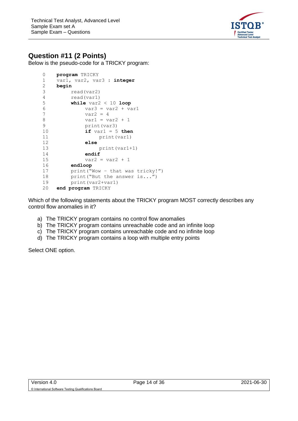

#### <span id="page-13-0"></span>**Question #11 (2 Points)**

Below is the pseudo-code for a TRICKY program:

```
0 program TRICKY
1 var1, var2, var3 : integer
2 begin
3 read(var2)
4 read(var1)
5 while var2 < 10 loop
6 var3 = var2 + var1
7 \text{ var2} = 48 \t\t \text{var1} = \text{var2} + 19 print(var3)
10 if var1 = 5 then
11 print(var1)
12 else
13 print(var1+1)
14 endif
15 var2 = var2 + 1
16 endloop
17 print("Wow – that was tricky!")
18 print("But the answer is...")
19 print(var2+var1)
20 end program TRICKY
```
Which of the following statements about the TRICKY program MOST correctly describes any control flow anomalies in it?

- a) The TRICKY program contains no control flow anomalies
- b) The TRICKY program contains unreachable code and an infinite loop
- c) The TRICKY program contains unreachable code and no infinite loop
- d) The TRICKY program contains a loop with multiple entry points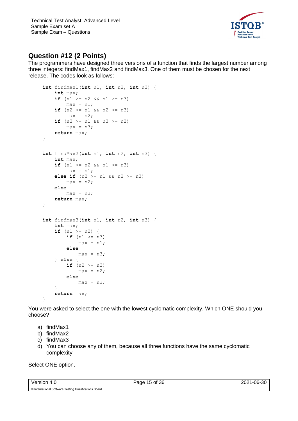

#### <span id="page-14-0"></span>**Question #12 (2 Points)**

The programmers have designed three versions of a function that finds the largest number among three integers: findMax1, findMax2 and findMax3. One of them must be chosen for the next release. The codes look as follows:

```
int findMax1(int n1, int n2, int n3) {
     int max;
    if (n1 \ge n2 \& x \le n1 \ge n3)max = n1;if (n2 \geq n1 \& k \leq n2 \geq n3)max = n2;if (n3 \geq n1 \& k \leq n3 \geq n2)max = n3; return max;
}
int findMax2(int n1, int n2, int n3) {
     int max;
    if (n1 \geq n2 \& k \leq n1 \geq n3)max = n1;else if (n2 \ge n1 \& n2 \ge n3)max = n2; else 
        max = n3; return max;
}
int findMax3(int n1, int n2, int n3) {
     int max;
    if (n1 \ge n2) {
        if (n1 \geq n3)max = n1; else 
             max = n3; } else {
        if (n2 \geq n3)max = n2; else 
             max = n3; }
     return max;
}
```
You were asked to select the one with the lowest cyclomatic complexity. Which ONE should you choose?

- a) findMax1
- b) findMax2
- c) findMax3
- d) You can choose any of them, because all three functions have the same cyclomatic complexity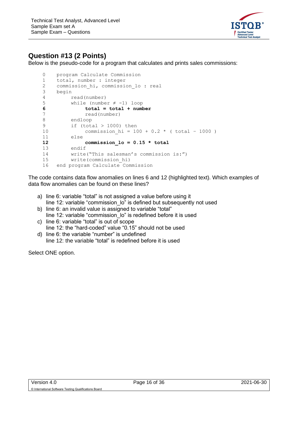

## <span id="page-15-0"></span>**Question #13 (2 Points)**

Below is the pseudo-code for a program that calculates and prints sales commissions:

```
0 program Calculate Commission
1 total, number : integer
2 commission hi, commission lo : real
3 begin
4 read(number)
5 while (number \neq -1) loop
6 total = total + number
7 read(number)
8 endloop
9 if (total > 1000) then
10 commission hi = 100 + 0.2 * ( total – 1000 )
11 else
12 commission_lo = 0.15 * total
13 endif
14 write("This salesman's commission is:")
15 write(commission_hi)
16 end program Calculate Commission
```
The code contains data flow anomalies on lines 6 and 12 (highlighted text). Which examples of data flow anomalies can be found on these lines?

- a) line 6: variable "total" is not assigned a value before using it line 12: variable "commission lo" is defined but subsequently not used
- b) line 6: an invalid value is assigned to variable "total" line 12: variable "commission lo" is redefined before it is used c) line 6: variable "total" is out of scope
- line 12: the "hard-coded" value "0.15" should not be used
- d) line 6: the variable "number" is undefined line 12: the variable "total" is redefined before it is used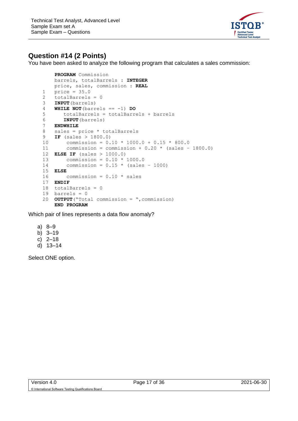

#### <span id="page-16-0"></span>**Question #14 (2 Points)**

You have been asked to analyze the following program that calculates a sales commission:

```
 PROGRAM Commission
    barrels, totalBarrels : INTEGER
    price, sales, commission : REAL
1 price = 35.0
2 totalBarrels = 0
3 INPUT(barrels)
4 WHILE NOT(barrels == -1) DO
5 totalBarrels = totalBarrels + barrels
6 INPUT(barrels)
7 ENDWHILE
8 sales = price * totalBarrels
9 IF (sales > 1800.0)
10 commission = 0.10 * 1000.0 + 0.15 * 800.0
11 commission = commission + 0.20 * (sales – 1800.0)
12 ELSE IF (sales > 1000.0)
13 commission = 0.10 * 1000.0
14 commission = 0.15 * (sales - 1000)
15 ELSE
16 commission = 0.10 * sales
17 ENDIF
18 totalBarrels = 0
19 barrels = 020 OUTPUT("Total commission = ",commission)
    END PROGRAM
```
Which pair of lines represents a data flow anomaly?

- a) 8–9
- b) 3–19
- c) 2–18
- d) 13–14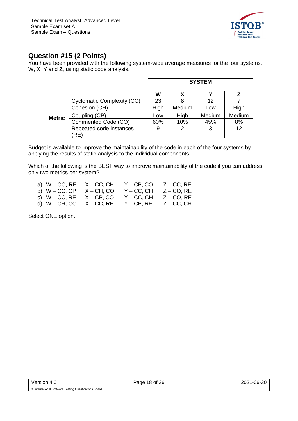

#### <span id="page-17-0"></span>**Question #15 (2 Points)**

You have been provided with the following system-wide average measures for the four systems, W, X, Y and Z, using static code analysis.

|               |                                   | <b>SYSTEM</b> |        |        |        |
|---------------|-----------------------------------|---------------|--------|--------|--------|
|               |                                   | W             |        |        |        |
|               | <b>Cyclomatic Complexity (CC)</b> | 23            |        | 12     |        |
|               | Cohesion (CH)                     | High          | Medium | Low    | High   |
| <b>Metric</b> | Coupling (CP)                     | Low           | High   | Medium | Medium |
|               | Commented Code (CO)               | 60%           | 10%    | 45%    | 8%     |
|               | Repeated code instances           | 9             | 2      | 3      | 12     |
|               | 'RE)                              |               |        |        |        |

Budget is available to improve the maintainability of the code in each of the four systems by applying the results of static analysis to the individual components.

Which of the following is the BEST way to improve maintainability of the code if you can address only two metrics per system?

| a) $W - CO$ , RE $X - CC$ , CH |               | $Y - CP$ , $CO$ | $Z - CC$ , RE   |
|--------------------------------|---------------|-----------------|-----------------|
| b) W – CC, CP                  | $X - CH$ , CO | $Y - CC$ , $CH$ | $Z - CO$ , RE   |
| c) $W - CC$ , RE               | $X - CP$ , CO | $Y - CC$ , $CH$ | $Z - CO$ , RE   |
| d) $W - CH$ , CO $X - CC$ , RE |               | $Y - CP, RE$    | $Z - CC$ , $CH$ |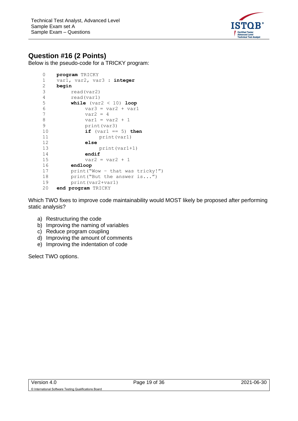

#### <span id="page-18-0"></span>**Question #16 (2 Points)**

Below is the pseudo-code for a TRICKY program:

```
0 program TRICKY
1 var1, var2, var3 : integer
2 begin
3 read(var2)
4 read(var1)
5 while (var2 < 10) loop
6 var3 = var2 + var1
7 \text{ var2} = 48 \t\t \text{var1} = \text{var2} + 19 print(var3)
10 if (var1 == 5) then
11 print(var1)
12 else
13 print(var1+1)
14 endif
15 var2 = var2 + 116 endloop
17 print("Wow – that was tricky!")
18 print("But the answer is...")
19 print(var2+var1)
20 end program TRICKY
```
Which TWO fixes to improve code maintainability would MOST likely be proposed after performing static analysis?

- a) Restructuring the code
- b) Improving the naming of variables
- c) Reduce program coupling
- d) Improving the amount of comments
- e) Improving the indentation of code

Select TWO options.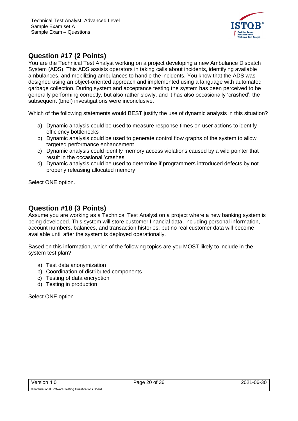

#### <span id="page-19-0"></span>**Question #17 (2 Points)**

You are the Technical Test Analyst working on a project developing a new Ambulance Dispatch System (ADS). This ADS assists operators in taking calls about incidents, identifying available ambulances, and mobilizing ambulances to handle the incidents. You know that the ADS was designed using an object-oriented approach and implemented using a language with automated garbage collection. During system and acceptance testing the system has been perceived to be generally performing correctly, but also rather slowly, and it has also occasionally 'crashed'; the subsequent (brief) investigations were inconclusive.

Which of the following statements would BEST justify the use of dynamic analysis in this situation?

- a) Dynamic analysis could be used to measure response times on user actions to identify efficiency bottlenecks
- b) Dynamic analysis could be used to generate control flow graphs of the system to allow targeted performance enhancement
- c) Dynamic analysis could identify memory access violations caused by a wild pointer that result in the occasional 'crashes'
- d) Dynamic analysis could be used to determine if programmers introduced defects by not properly releasing allocated memory

Select ONE option.

#### <span id="page-19-1"></span>**Question #18 (3 Points)**

Assume you are working as a Technical Test Analyst on a project where a new banking system is being developed. This system will store customer financial data, including personal information, account numbers, balances, and transaction histories, but no real customer data will become available until after the system is deployed operationally.

Based on this information, which of the following topics are you MOST likely to include in the system test plan?

- a) Test data anonymization
- b) Coordination of distributed components
- c) Testing of data encryption
- d) Testing in production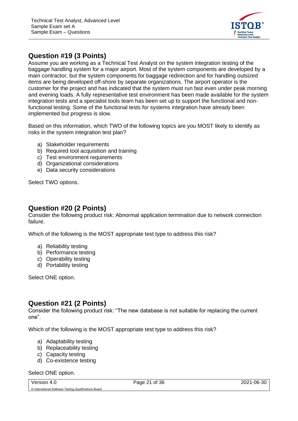

### <span id="page-20-0"></span>**Question #19 (3 Points)**

Assume you are working as a Technical Test Analyst on the system integration testing of the baggage handling system for a major airport. Most of the system components are developed by a main contractor, but the system components for baggage redirection and for handling outsized items are being developed off-shore by separate organizations. The airport operator is the customer for the project and has indicated that the system must run fast even under peak morning and evening loads. A fully representative test environment has been made available for the system integration tests and a specialist tools team has been set up to support the functional and nonfunctional testing. Some of the functional tests for systems integration have already been implemented but progress is slow.

Based on this information, which TWO of the following topics are you MOST likely to identify as risks in the system integration test plan?

- a) Stakeholder requirements
- b) Required tool acquisition and training
- c) Test environment requirements
- d) Organizational considerations
- e) Data security considerations

Select TWO options.

#### <span id="page-20-1"></span>**Question #20 (2 Points)**

Consider the following product risk: Abnormal application termination due to network connection failure.

Which of the following is the MOST appropriate test type to address this risk?

- a) Reliability testing
- b) Performance testing
- c) Operability testing
- d) Portability testing

Select ONE option.

#### <span id="page-20-2"></span>**Question #21 (2 Points)**

Consider the following product risk: "The new database is not suitable for replacing the current one".

Which of the following is the MOST appropriate test type to address this risk?

- a) Adaptability testing
- b) Replaceability testing
- c) Capacity testing
- d) Co-existence testing

#### Select ONE option.

Version 4.0 **Page 21 of 36** Page 21 of 36 **June 30, 2021-06-30** © International Software Testing Qualifications Board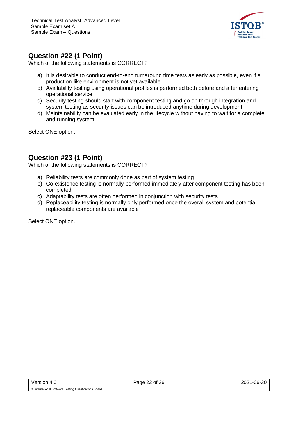

#### <span id="page-21-0"></span>**Question #22 (1 Point)**

Which of the following statements is CORRECT?

- a) It is desirable to conduct end-to-end turnaround time tests as early as possible, even if a production-like environment is not yet available
- b) Availability testing using operational profiles is performed both before and after entering operational service
- c) Security testing should start with component testing and go on through integration and system testing as security issues can be introduced anytime during development
- d) Maintainability can be evaluated early in the lifecycle without having to wait for a complete and running system

Select ONE option.

#### <span id="page-21-1"></span>**Question #23 (1 Point)**

Which of the following statements is CORRECT?

- a) Reliability tests are commonly done as part of system testing
- b) Co-existence testing is normally performed immediately after component testing has been completed
- c) Adaptability tests are often performed in conjunction with security tests
- d) Replaceability testing is normally only performed once the overall system and potential replaceable components are available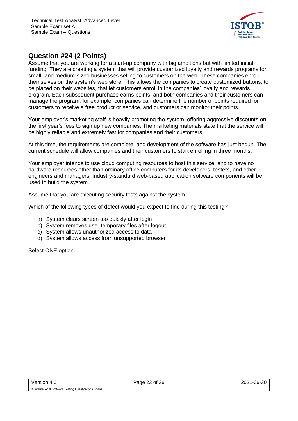

#### <span id="page-22-0"></span>**Question #24 (2 Points)**

Assume that you are working for a start-up company with big ambitions but with limited initial funding. They are creating a system that will provide customized loyalty and rewards programs for small- and medium-sized businesses selling to customers on the web. These companies enroll themselves on the system's web store. This allows the companies to create customized buttons, to be placed on their websites, that let customers enroll in the companies' loyalty and rewards program. Each subsequent purchase earns points, and both companies and their customers can manage the program; for example, companies can determine the number of points required for customers to receive a free product or service, and customers can monitor their points.

Your employer's marketing staff is heavily promoting the system, offering aggressive discounts on the first year's fees to sign up new companies. The marketing materials state that the service will be highly reliable and extremely fast for companies and their customers.

At this time, the requirements are complete, and development of the software has just begun. The current schedule will allow companies and their customers to start enrolling in three months.

Your employer intends to use cloud computing resources to host this service, and to have no hardware resources other than ordinary office computers for its developers, testers, and other engineers and managers. Industry-standard web-based application software components will be used to build the system.

Assume that you are executing security tests against the system.

Which of the following types of defect would you expect to find during this testing?

- a) System clears screen too quickly after login
- b) System removes user temporary files after logout
- c) System allows unauthorized access to data
- d) System allows access from unsupported browser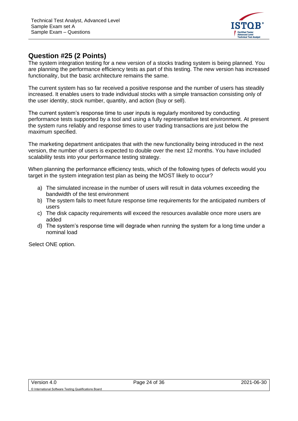

#### <span id="page-23-0"></span>**Question #25 (2 Points)**

The system integration testing for a new version of a stocks trading system is being planned. You are planning the performance efficiency tests as part of this testing. The new version has increased functionality, but the basic architecture remains the same.

The current system has so far received a positive response and the number of users has steadily increased. It enables users to trade individual stocks with a simple transaction consisting only of the user identity, stock number, quantity, and action (buy or sell).

The current system's response time to user inputs is regularly monitored by conducting performance tests supported by a tool and using a fully representative test environment. At present the system runs reliably and response times to user trading transactions are just below the maximum specified.

The marketing department anticipates that with the new functionality being introduced in the next version, the number of users is expected to double over the next 12 months. You have included scalability tests into your performance testing strategy.

When planning the performance efficiency tests, which of the following types of defects would you target in the system integration test plan as being the MOST likely to occur?

- a) The simulated increase in the number of users will result in data volumes exceeding the bandwidth of the test environment
- b) The system fails to meet future response time requirements for the anticipated numbers of users
- c) The disk capacity requirements will exceed the resources available once more users are added
- d) The system's response time will degrade when running the system for a long time under a nominal load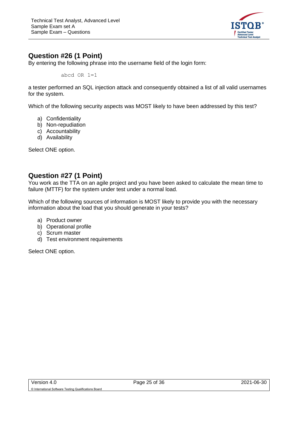

#### <span id="page-24-0"></span>**Question #26 (1 Point)**

By entering the following phrase into the username field of the login form:

abcd  $OR$   $1=1$ 

a tester performed an SQL injection attack and consequently obtained a list of all valid usernames for the system.

Which of the following security aspects was MOST likely to have been addressed by this test?

- a) Confidentiality
- b) Non-repudiation
- c) Accountability
- d) Availability

Select ONE option.

### <span id="page-24-1"></span>**Question #27 (1 Point)**

You work as the TTA on an agile project and you have been asked to calculate the mean time to failure (MTTF) for the system under test under a normal load.

Which of the following sources of information is MOST likely to provide you with the necessary information about the load that you should generate in your tests?

- a) Product owner
- b) Operational profile
- c) Scrum master
- d) Test environment requirements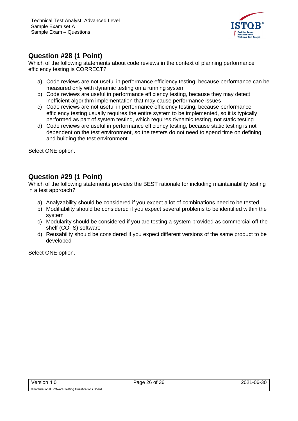

#### <span id="page-25-0"></span>**Question #28 (1 Point)**

Which of the following statements about code reviews in the context of planning performance efficiency testing is CORRECT?

- a) Code reviews are not useful in performance efficiency testing, because performance can be measured only with dynamic testing on a running system
- b) Code reviews are useful in performance efficiency testing, because they may detect inefficient algorithm implementation that may cause performance issues
- c) Code reviews are not useful in performance efficiency testing, because performance efficiency testing usually requires the entire system to be implemented, so it is typically performed as part of system testing, which requires dynamic testing, not static testing
- d) Code reviews are useful in performance efficiency testing, because static testing is not dependent on the test environment, so the testers do not need to spend time on defining and building the test environment

Select ONE option.

#### <span id="page-25-1"></span>**Question #29 (1 Point)**

Which of the following statements provides the BEST rationale for including maintainability testing in a test approach?

- a) Analyzability should be considered if you expect a lot of combinations need to be tested
- b) Modifiability should be considered if you expect several problems to be identified within the system
- c) Modularity should be considered if you are testing a system provided as commercial off-theshelf (COTS) software
- d) Reusability should be considered if you expect different versions of the same product to be developed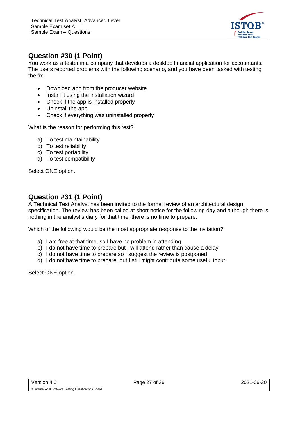

#### <span id="page-26-0"></span>**Question #30 (1 Point)**

You work as a tester in a company that develops a desktop financial application for accountants. The users reported problems with the following scenario, and you have been tasked with testing the fix.

- Download app from the producer website
- Install it using the installation wizard
- Check if the app is installed properly
- Uninstall the app
- Check if everything was uninstalled properly

What is the reason for performing this test?

- a) To test maintainability
- b) To test reliability
- c) To test portability
- d) To test compatibility

Select ONE option.

#### <span id="page-26-1"></span>**Question #31 (1 Point)**

A Technical Test Analyst has been invited to the formal review of an architectural design specification. The review has been called at short notice for the following day and although there is nothing in the analyst's diary for that time, there is no time to prepare.

Which of the following would be the most appropriate response to the invitation?

- a) I am free at that time, so I have no problem in attending
- b) I do not have time to prepare but I will attend rather than cause a delay
- c) I do not have time to prepare so I suggest the review is postponed
- d) I do not have time to prepare, but I still might contribute some useful input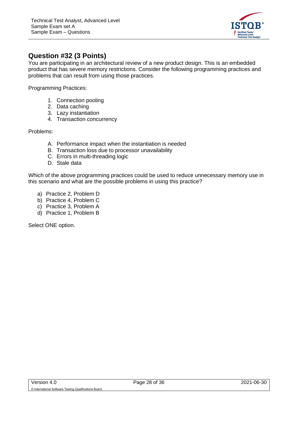

#### <span id="page-27-0"></span>**Question #32 (3 Points)**

You are participating in an architectural review of a new product design. This is an embedded product that has severe memory restrictions. Consider the following programming practices and problems that can result from using those practices.

Programming Practices:

- 1. Connection pooling
- 2. Data caching
- 3. Lazy instantiation
- 4. Transaction concurrency

Problems:

- A. Performance impact when the instantiation is needed
- B. Transaction loss due to processor unavailability
- C. Errors in multi-threading logic
- D. Stale data

Which of the above programming practices could be used to reduce unnecessary memory use in this scenario and what are the possible problems in using this practice?

- a) Practice 2, Problem D
- b) Practice 4, Problem C
- c) Practice 3, Problem A
- d) Practice 1, Problem B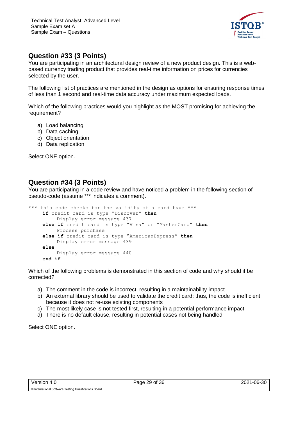

#### <span id="page-28-0"></span>**Question #33 (3 Points)**

You are participating in an architectural design review of a new product design. This is a webbased currency trading product that provides real-time information on prices for currencies selected by the user.

The following list of practices are mentioned in the design as options for ensuring response times of less than 1 second and real-time data accuracy under maximum expected loads.

Which of the following practices would you highlight as the MOST promising for achieving the requirement?

- a) Load balancing
- b) Data caching
- c) Object orientation
- d) Data replication

Select ONE option.

#### <span id="page-28-1"></span>**Question #34 (3 Points)**

You are participating in a code review and have noticed a problem in the following section of pseudo-code (assume \*\*\* indicates a comment).

```
*** this code checks for the validity of a card type ***
    if credit card is type "Discover" then
        Display error message 437
    else if credit card is type "Visa" or "MasterCard" then
        Process purchase
    else if credit card is type "AmericanExpress" then
        Display error message 439
    else
         Display error message 440
    end if
```
Which of the following problems is demonstrated in this section of code and why should it be corrected?

- a) The comment in the code is incorrect, resulting in a maintainability impact
- b) An external library should be used to validate the credit card; thus, the code is inefficient because it does not re-use existing components
- c) The most likely case is not tested first, resulting in a potential performance impact
- d) There is no default clause, resulting in potential cases not being handled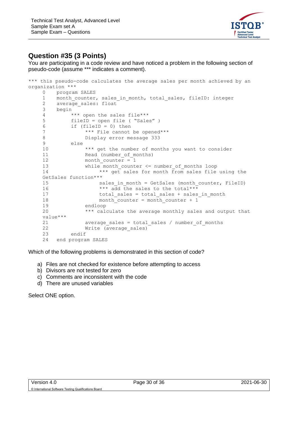

#### <span id="page-29-0"></span>**Question #35 (3 Points)**

You are participating in a code review and have noticed a problem in the following section of pseudo-code (assume \*\*\* indicates a comment).

```
*** this pseudo-code calculates the average sales per month achieved by an
organization ***
   0 program SALES
   1 month_counter, sales_in_month, total_sales, fileID: integer
   2 average sales: float
   3 begin
   4 *** open the sales file***
   5 fileID = open file ( "Sales" )
   6 if (fileID = 0) then
   7 *** File cannot be opened***
   8 Display error message 333
   9 else
   10 *** get the number of months you want to consider
   11 Read (number of months)
   12 month counter = 1
   13 while month counter <= number of months loop
   14 *** get sales for month from sales file using the
   GetSales function***
   15 sales in month = GetSales (month counter, FileID)
   16 *** add the sales to the total***
   17 total sales = total sales + sales in month
   18 month counter = month counter + 1
   19 endloop
   20 *** calculate the average monthly sales and output that 
   value***
   21 average_sales = total_sales / number_of_months
   22 Write (average sales)
   23 endif
   24 end program SALES
```
Which of the following problems is demonstrated in this section of code?

- a) Files are not checked for existence before attempting to access
- b) Divisors are not tested for zero
- c) Comments are inconsistent with the code
- d) There are unused variables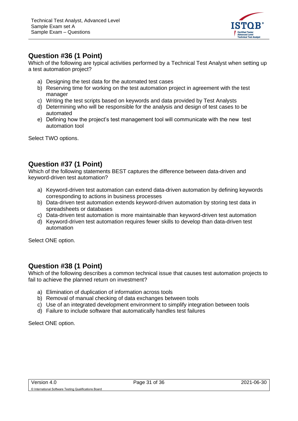

#### <span id="page-30-0"></span>**Question #36 (1 Point)**

Which of the following are typical activities performed by a Technical Test Analyst when setting up a test automation project?

- a) Designing the test data for the automated test cases
- b) Reserving time for working on the test automation project in agreement with the test manager
- c) Writing the test scripts based on keywords and data provided by Test Analysts
- d) Determining who will be responsible for the analysis and design of test cases to be automated
- e) Defining how the project's test management tool will communicate with the new test automation tool

Select TWO options.

#### <span id="page-30-1"></span>**Question #37 (1 Point)**

Which of the following statements BEST captures the difference between data-driven and keyword-driven test automation?

- a) Keyword-driven test automation can extend data-driven automation by defining keywords corresponding to actions in business processes
- b) Data-driven test automation extends keyword-driven automation by storing test data in spreadsheets or databases
- c) Data-driven test automation is more maintainable than keyword-driven test automation
- d) Keyword-driven test automation requires fewer skills to develop than data-driven test automation

Select ONE option.

#### <span id="page-30-2"></span>**Question #38 (1 Point)**

Which of the following describes a common technical issue that causes test automation projects to fail to achieve the planned return on investment?

- a) Elimination of duplication of information across tools
- b) Removal of manual checking of data exchanges between tools
- c) Use of an integrated development environment to simplify integration between tools
- d) Failure to include software that automatically handles test failures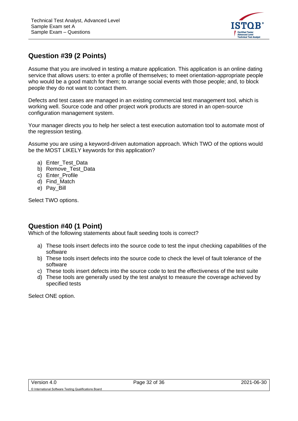

## <span id="page-31-0"></span>**Question #39 (2 Points)**

Assume that you are involved in testing a mature application. This application is an online dating service that allows users: to enter a profile of themselves; to meet orientation-appropriate people who would be a good match for them; to arrange social events with those people; and, to block people they do not want to contact them.

Defects and test cases are managed in an existing commercial test management tool, which is working well. Source code and other project work products are stored in an open-source configuration management system.

Your manager directs you to help her select a test execution automation tool to automate most of the regression testing.

Assume you are using a keyword-driven automation approach. Which TWO of the options would be the MOST LIKELY keywords for this application?

- a) Enter Test Data
- b) Remove Test Data
- c) Enter Profile
- d) Find\_Match
- e) Pay\_Bill

Select TWO options.

## <span id="page-31-1"></span>**Question #40 (1 Point)**

Which of the following statements about fault seeding tools is correct?

- a) These tools insert defects into the source code to test the input checking capabilities of the software
- b) These tools insert defects into the source code to check the level of fault tolerance of the software
- c) These tools insert defects into the source code to test the effectiveness of the test suite
- d) These tools are generally used by the test analyst to measure the coverage achieved by specified tests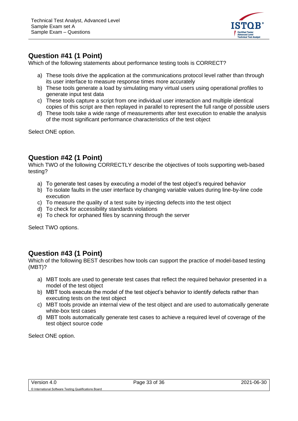

#### <span id="page-32-0"></span>**Question #41 (1 Point)**

Which of the following statements about performance testing tools is CORRECT?

- a) These tools drive the application at the communications protocol level rather than through its user interface to measure response times more accurately
- b) These tools generate a load by simulating many virtual users using operational profiles to generate input test data
- c) These tools capture a script from one individual user interaction and multiple identical copies of this script are then replayed in parallel to represent the full range of possible users
- d) These tools take a wide range of measurements after test execution to enable the analysis of the most significant performance characteristics of the test object

Select ONE option.

#### <span id="page-32-1"></span>**Question #42 (1 Point)**

Which TWO of the following CORRECTLY describe the objectives of tools supporting web-based testing?

- a) To generate test cases by executing a model of the test object's required behavior
- b) To isolate faults in the user interface by changing variable values during line-by-line code execution
- c) To measure the quality of a test suite by injecting defects into the test object
- d) To check for accessibility standards violations
- e) To check for orphaned files by scanning through the server

Select TWO options.

#### <span id="page-32-2"></span>**Question #43 (1 Point)**

Which of the following BEST describes how tools can support the practice of model-based testing (MBT)?

- a) MBT tools are used to generate test cases that reflect the required behavior presented in a model of the test object
- b) MBT tools execute the model of the test object's behavior to identify defects rather than executing tests on the test object
- c) MBT tools provide an internal view of the test object and are used to automatically generate white-box test cases
- d) MBT tools automatically generate test cases to achieve a required level of coverage of the test object source code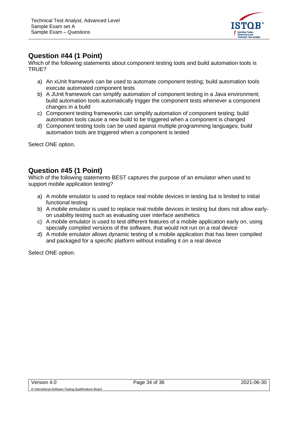

#### <span id="page-33-0"></span>**Question #44 (1 Point)**

Which of the following statements about component testing tools and build automation tools is TRUE?

- a) An xUnit framework can be used to automate component testing; build automation tools execute automated component tests
- b) A JUnit framework can simplify automation of component testing in a Java environment; build automation tools automatically trigger the component tests whenever a component changes in a build
- c) Component testing frameworks can simplify automation of component testing; build automation tools cause a new build to be triggered when a component is changed
- d) Component testing tools can be used against multiple programming languages; build automation tools are triggered when a component is tested

Select ONE option.

#### <span id="page-33-1"></span>**Question #45 (1 Point)**

Which of the following statements BEST captures the purpose of an emulator when used to support mobile application testing?

- a) A mobile emulator is used to replace real mobile devices in testing but is limited to initial functional testing
- b) A mobile emulator is used to replace real mobile devices in testing but does not allow earlyon usability testing such as evaluating user interface aesthetics
- c) A mobile emulator is used to test different features of a mobile application early on, using specially compiled versions of the software, that would not run on a real device
- d) A mobile emulator allows dynamic testing of a mobile application that has been compiled and packaged for a specific platform without installing it on a real device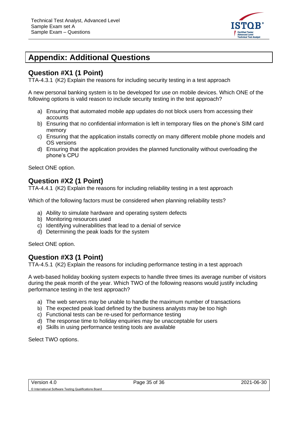

# <span id="page-34-0"></span>**Appendix: Additional Questions**

#### <span id="page-34-1"></span>**Question #X1 (1 Point)**

TTA-4.3.1 (K2) Explain the reasons for including security testing in a test approach

A new personal banking system is to be developed for use on mobile devices. Which ONE of the following options is valid reason to include security testing in the test approach?

- a) Ensuring that automated mobile app updates do not block users from accessing their accounts
- b) Ensuring that no confidential information is left in temporary files on the phone's SIM card memory
- c) Ensuring that the application installs correctly on many different mobile phone models and OS versions
- d) Ensuring that the application provides the planned functionality without overloading the phone's CPU

Select ONE option.

#### <span id="page-34-2"></span>**Question #X2 (1 Point)**

TTA-4.4.1 (K2) Explain the reasons for including reliability testing in a test approach

Which of the following factors must be considered when planning reliability tests?

- a) Ability to simulate hardware and operating system defects
- b) Monitoring resources used
- c) Identifying vulnerabilities that lead to a denial of service
- d) Determining the peak loads for the system

Select ONE option.

#### <span id="page-34-3"></span>**Question #X3 (1 Point)**

TTA-4.5.1 (K2) Explain the reasons for including performance testing in a test approach

A web-based holiday booking system expects to handle three times its average number of visitors during the peak month of the year. Which TWO of the following reasons would justify including performance testing in the test approach?

- a) The web servers may be unable to handle the maximum number of transactions
- b) The expected peak load defined by the business analysts may be too high
- c) Functional tests can be re-used for performance testing
- d) The response time to holiday enquiries may be unacceptable for users
- e) Skills in using performance testing tools are available

Select TWO options.